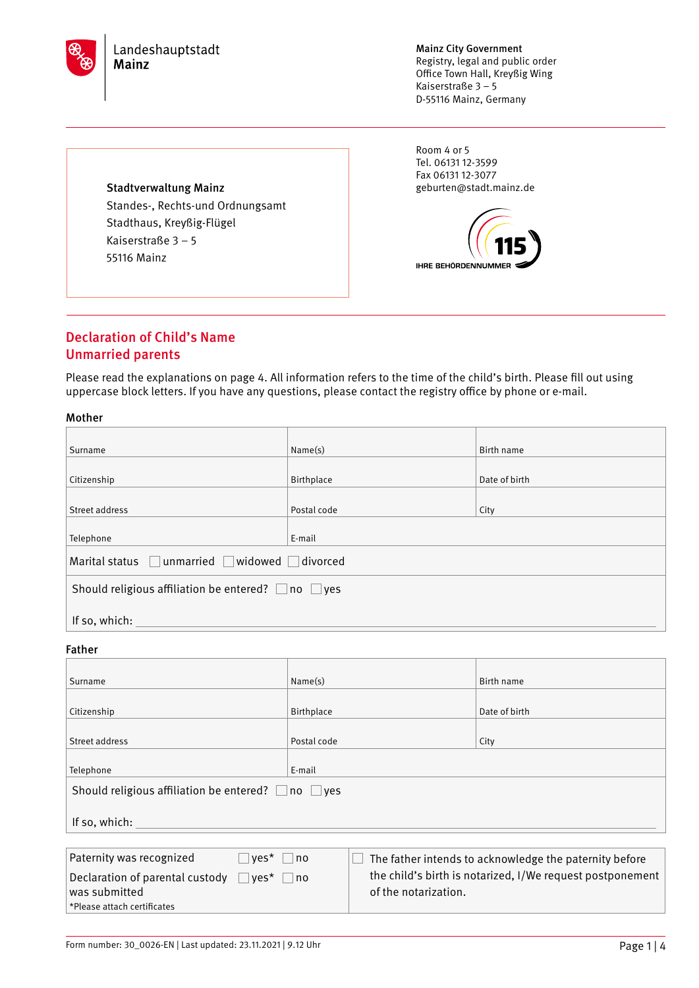

Mainz City Government Registry, legal and public order Office Town Hall, Kreyßig Wing Kaiserstraße 3 – 5 D-55116 Mainz, Germany

Room 4 or 5 Tel. 06131 12-3599 Fax 06131 12-3077 geburten@stadt.mainz.de



## Stadtverwaltung Mainz Standes-, Rechts-und Ordnungsamt Stadthaus, Kreyßig-Flügel Kaiserstraße 3 – 5 55116 Mainz

## Declaration of Child's Name Unmarried parents

Please read the explanations on page 4. All information refers to the time of the child's birth. Please fill out using uppercase block letters. If you have any questions, please contact the registry office by phone or e-mail.

### Mother

| Surname                                                       | Name(s)     | Birth name    |
|---------------------------------------------------------------|-------------|---------------|
|                                                               |             |               |
| Citizenship                                                   | Birthplace  | Date of birth |
|                                                               |             |               |
| Street address                                                | Postal code | City          |
| Telephone                                                     | E-mail      |               |
| Marital status unmarried widowed divorced                     |             |               |
| Should religious affiliation be entered? $\Box$ no $\Box$ yes |             |               |
| If so, which:                                                 |             |               |
| Father                                                        |             |               |
|                                                               |             |               |
| Surname                                                       | Name(s)     | Birth name    |
|                                                               |             |               |
| Citizenship                                                   | Birthplace  | Date of birth |
|                                                               |             |               |

| Telephone<br>E-mail                                           |                                                           |
|---------------------------------------------------------------|-----------------------------------------------------------|
| Should religious affiliation be entered? $\Box$ no $\Box$ yes |                                                           |
| If so, which:                                                 |                                                           |
|                                                               |                                                           |
| Paternity was recognized<br>$\Box$ yes*<br>no                 | The father intends to acknowledge the paternity before    |
| Declaration of parental custody<br>$ves^*$<br>no              | the child's birth is notarized, I/We request postponement |

of the notarization.

**Street address City Postal code** City

| Form number: 30 0026-EN   Last updated: 23.11.2021   9.12 Uhr | Page $1 4$ |
|---------------------------------------------------------------|------------|
|---------------------------------------------------------------|------------|

was submitted \*Please attach certificates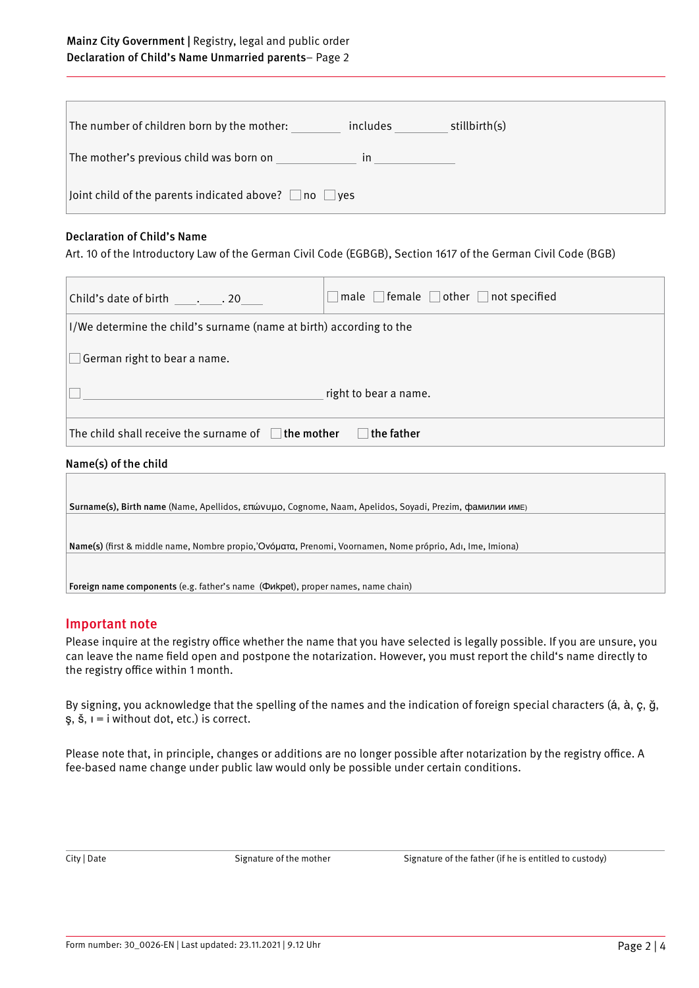## Mainz City Government | Registry, legal and public order Declaration of Child's Name Unmarried parents– Page 2

| stillbirth(s)<br>The number of children born by the mother:<br>includes  |
|--------------------------------------------------------------------------|
| The mother's previous child was born on<br><i>in</i>                     |
| $\vert$ Joint child of the parents indicated above? $\Box$ no $\Box$ yes |

### Declaration of Child's Name

Art. 10 of the Introductory Law of the German Civil Code (EGBGB), Section 1617 of the German Civil Code (BGB)

| Child's date of birth 20                                               | male $\Box$ female $\Box$ other $\Box$ not specified |  |
|------------------------------------------------------------------------|------------------------------------------------------|--|
| I/We determine the child's surname (name at birth) according to the    |                                                      |  |
| German right to bear a name.                                           |                                                      |  |
| right to bear a name.                                                  |                                                      |  |
| The child shall receive the surname of $\Box$ the mother<br>the father |                                                      |  |
| Name(s) of the child                                                   |                                                      |  |
|                                                                        |                                                      |  |

| Surname(s), Birth name (Name, Apellidos, επώνυμο, Cognome, Naam, Apelidos, Soyadi, Prezim, фамилии имє)   |  |
|-----------------------------------------------------------------------------------------------------------|--|
|                                                                                                           |  |
|                                                                                                           |  |
| Name(s) (first & middle name, Nombre propio, Ὀνόματα, Prenomi, Voornamen, Nome próprio, Adı, Ime, Imiona) |  |
|                                                                                                           |  |

Foreign name components (e.g. father's name (Фиkpet), proper names, name chain)

## Important note

Please inquire at the registry office whether the name that you have selected is legally possible. If you are unsure, you can leave the name field open and postpone the notarization. However, you must report the child's name directly to the registry office within 1 month.

By signing, you acknowledge that the spelling of the names and the indication of foreign special characters (á, à, ç, ğ, ş, š, ı = i without dot, etc.) is correct.

Please note that, in principle, changes or additions are no longer possible after notarization by the registry office. A fee-based name change under public law would only be possible under certain conditions.

City | Date Signature of the mother Signature of the father (if he is entitled to custody)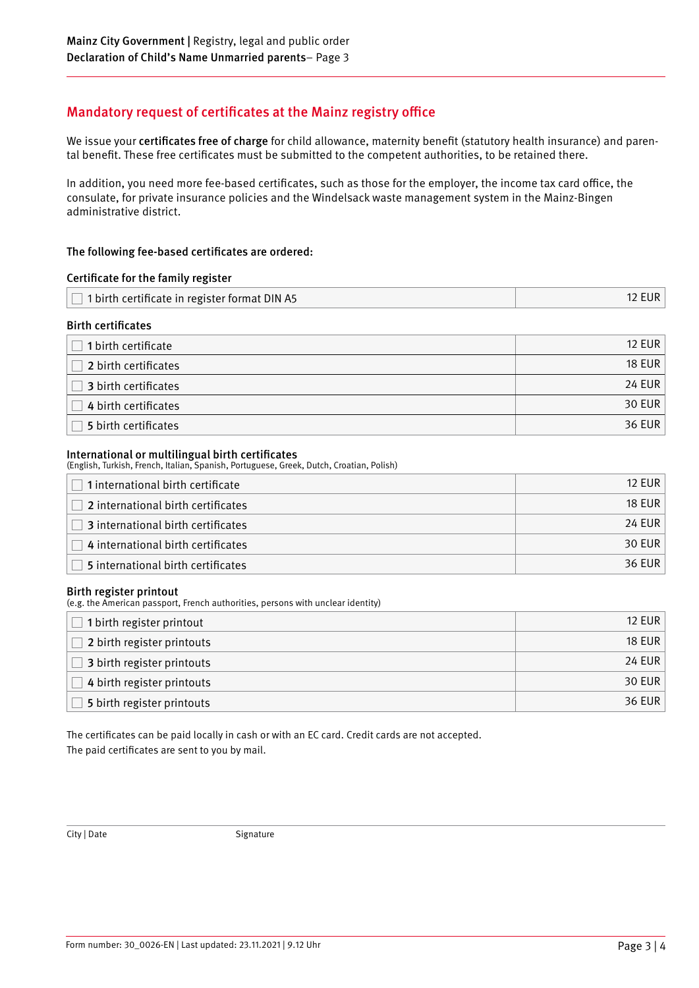# Mandatory request of certificates at the Mainz registry office

We issue your certificates free of charge for child allowance, maternity benefit (statutory health insurance) and parental benefit. These free certificates must be submitted to the competent authorities, to be retained there.

In addition, you need more fee-based certificates, such as those for the employer, the income tax card office, the consulate, for private insurance policies and the Windelsack waste management system in the Mainz-Bingen administrative district.

## The following fee-based certificates are ordered:

| Certificate for the family register                  |               |
|------------------------------------------------------|---------------|
| $\Box$ 1 birth certificate in register format DIN A5 | <b>12 EUR</b> |
| Birth certificates                                   |               |

| 1 birth certificate  | <b>12 EUR</b> |
|----------------------|---------------|
| 2 birth certificates | <b>18 EUR</b> |
| 3 birth certificates | 24 EUR        |
| 4 birth certificates | 30 EUR        |
| 5 birth certificates | 36 EUR        |

### International or multilingual birth certificates

(English, Turkish, French, Italian, Spanish, Portuguese, Greek, Dutch, Croatian, Polish)

| 1 international birth certificate         | 12 FUR |
|-------------------------------------------|--------|
| 2 international birth certificates        | 18 FUR |
| $\Box$ 3 international birth certificates | 24 EUR |
| 4 international birth certificates        | 30 EUR |
| 5 international birth certificates        | 36 EUR |

### Birth register printout

(e.g. the American passport, French authorities, persons with unclear identity)

| 1 birth register printout  | <b>12 EUR</b> |
|----------------------------|---------------|
| 2 birth register printouts | <b>18 EUR</b> |
| 3 birth register printouts | 24 EUR        |
| 4 birth register printouts | <b>30 EUR</b> |
| 5 birth register printouts | <b>36 EUR</b> |

The certificates can be paid locally in cash or with an EC card. Credit cards are not accepted. The paid certificates are sent to you by mail.

City | Date Signature